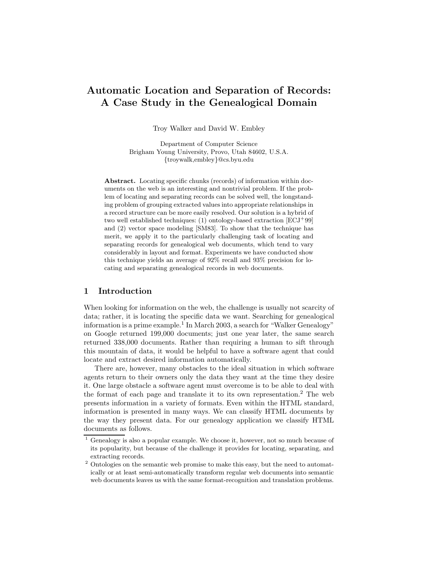# **Automatic Location and Separation of Records: A Case Study in the Genealogical Domain**

Troy Walker and David W. Embley

Department of Computer Science Brigham Young University, Provo, Utah 84602, U.S.A. *{*troywalk,embley*}*@cs.byu.edu

**Abstract.** Locating specific chunks (records) of information within documents on the web is an interesting and nontrivial problem. If the problem of locating and separating records can be solved well, the longstanding problem of grouping extracted values into appropriate relationships in a record structure can be more easily resolved. Our solution is a hybrid of two well established techniques: (1) ontology-based extraction [ECJ<sup>+</sup>99] and (2) vector space modeling [SM83]. To show that the technique has merit, we apply it to the particularly challenging task of locating and separating records for genealogical web documents, which tend to vary considerably in layout and format. Experiments we have conducted show this technique yields an average of 92% recall and 93% precision for locating and separating genealogical records in web documents.

#### **1 Introduction**

When looking for information on the web, the challenge is usually not scarcity of data; rather, it is locating the specific data we want. Searching for genealogical information is a prime example.<sup>1</sup> In March 2003, a search for "Walker Genealogy" on Google returned 199,000 documents; just one year later, the same search returned 338,000 documents. Rather than requiring a human to sift through this mountain of data, it would be helpful to have a software agent that could locate and extract desired information automatically.

There are, however, many obstacles to the ideal situation in which software agents return to their owners only the data they want at the time they desire it. One large obstacle a software agent must overcome is to be able to deal with the format of each page and translate it to its own representation.<sup>2</sup> The web presents information in a variety of formats. Even within the HTML standard, information is presented in many ways. We can classify HTML documents by the way they present data. For our genealogy application we classify HTML documents as follows.

<sup>1</sup> Genealogy is also a popular example. We choose it, however, not so much because of its popularity, but because of the challenge it provides for locating, separating, and extracting records.

<sup>2</sup> Ontologies on the semantic web promise to make this easy, but the need to automatically or at least semi-automatically transform regular web documents into semantic web documents leaves us with the same format-recognition and translation problems.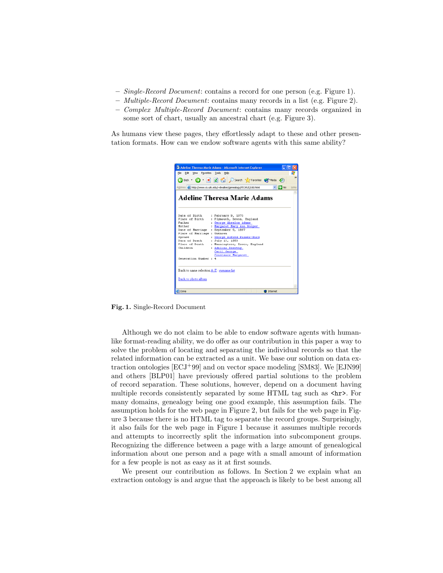- **–** *Single-Record Document*: contains a record for one person (e.g. Figure 1).
- **–** *Multiple-Record Document*: contains many records in a list (e.g. Figure 2).
- **–** *Complex Multiple-Record Document*: contains many records organized in some sort of chart, usually an ancestral chart (e.g. Figure 3).

As humans view these pages, they effortlessly adapt to these and other presentation formats. How can we endow software agents with this same ability?

|                                          | Adeline Theresa Marie Adams - Microsoft Internet Explorer                                       |       |
|------------------------------------------|-------------------------------------------------------------------------------------------------|-------|
| Elle Edit View Favorites Tools Help      |                                                                                                 |       |
|                                          | 3 Back + ○ + × 2 4 2 Search Stravorkes @ Mode ④                                                 |       |
|                                          | $\sim$ $\Box$ Go<br>Address <b>and http://www.cs.utk.edu/~dwalker/genealogy/PEOPLE/180.html</b> | Links |
|                                          | Adeline Theresa Marie Adams                                                                     |       |
|                                          | Date of Birth : February 9, 1875<br>Place of Birth : Plymouth, Devon, England                   |       |
| Father                                   | : George Absalom Adams                                                                          |       |
| Mother                                   | : Margaret Mary Ann Hooper                                                                      |       |
| Date of Marriage                         | : September 9, 1897                                                                             |       |
| Place of Marriage : Unknown              |                                                                                                 |       |
| Spouse                                   | : George Alfred Bulmer-Bird                                                                     |       |
| Date of Death                            | : July 13, 1953                                                                                 |       |
| Place of Death                           | : Manningtree, Essex, England                                                                   |       |
| Children                                 | : Adeline Dorothy                                                                               |       |
|                                          | Cecil George                                                                                    |       |
|                                          | Constance Margaret                                                                              |       |
| Generation Number : 4                    |                                                                                                 |       |
| Back to name selection A-Z : sumame list |                                                                                                 |       |
| Back to photo album                      |                                                                                                 |       |
|                                          |                                                                                                 |       |

**Fig. 1.** Single-Record Document

Although we do not claim to be able to endow software agents with humanlike format-reading ability, we do offer as our contribution in this paper a way to solve the problem of locating and separating the individual records so that the related information can be extracted as a unit. We base our solution on data extraction ontologies  $[ECJ+99]$  and on vector space modeling [SM83]. We [EJN99] and others [BLP01] have previously offered partial solutions to the problem of record separation. These solutions, however, depend on a document having multiple records consistently separated by some HTML tag such as <hr>. For many domains, genealogy being one good example, this assumption fails. The assumption holds for the web page in Figure 2, but fails for the web page in Figure 3 because there is no HTML tag to separate the record groups. Surprisingly, it also fails for the web page in Figure 1 because it assumes multiple records and attempts to incorrectly split the information into subcomponent groups. Recognizing the difference between a page with a large amount of genealogical information about one person and a page with a small amount of information for a few people is not as easy as it at first sounds.

We present our contribution as follows. In Section 2 we explain what an extraction ontology is and argue that the approach is likely to be best among all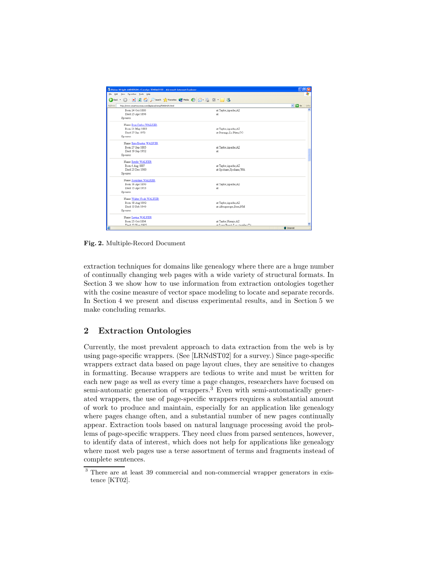| <sup>2</sup> Blaine Wright ANDIRSEN / Carolyn TENSMEYER - Microsoft Internet Explorer |                               | a.                              |
|---------------------------------------------------------------------------------------|-------------------------------|---------------------------------|
| Elle Edit Vew Fgvorites Tools Help                                                    |                               |                                 |
| <b>O</b> Book • ◎ · ■ ② ◎ ◎ ◎ ∞ ☆ ☆ provides @ Mode ② ◎ ◎ ◎ □ ③                       |                               |                                 |
| Address<br>http://www.snartnouveau.com/bplace/Kemp/f0000425.html                      |                               | $\vee$ $\Box$ $\omega$<br>Links |
| Born: 24 Oct 1880                                                                     | at:Taylor,Apache,AZ           |                                 |
| Died 25 Apr 1896                                                                      | at:                           |                                 |
| Spouses:                                                                              |                               |                                 |
| Name Don Carlos WALKER                                                                |                               |                                 |
| Born: 21 May 1883                                                                     | at:Taylor,Apache,AZ           |                                 |
| Died 27 Jan 1972                                                                      | at Durango, La Plata, CO      |                                 |
| Spouses:                                                                              |                               |                                 |
| Name: Egra Erastus WALKER                                                             |                               |                                 |
| Born: 27 Sep 1885                                                                     | at Taylor, Apache, AZ         |                                 |
| Died 19 Sep 1952                                                                      | at.                           |                                 |
| Spouses:                                                                              |                               |                                 |
| Name: Estelle WALKER                                                                  |                               |                                 |
| Born: 6 Aug 1887                                                                      | at Taylor, Apache, AZ         |                                 |
| Died-23 Dec 1980                                                                      | at: Spokane, Spokane, WA      |                                 |
| Spouses:                                                                              |                               |                                 |
| Name:Josephine WALKER                                                                 |                               |                                 |
| Born: 16 Apr 1890                                                                     | at Taylor, Apache, AZ         |                                 |
| Died: 15 Apr 1953                                                                     | at:                           |                                 |
| Spouses:                                                                              |                               |                                 |
| Name: Walter Noah WALKER                                                              |                               |                                 |
| Born: 18 Aug 1892                                                                     | at Taylor, Apache, AZ         |                                 |
| Died: 13 Feb 1940                                                                     | at: Albuquerque_Bern,NM       |                                 |
| Spouses:                                                                              |                               |                                 |
| Name: Lavina WALKER                                                                   |                               |                                 |
| Born: 25 Oct 1894                                                                     | at Taylor Navajo AZ           |                                 |
| Fig. 4.19 Map 1645                                                                    | at Long Roach Lon Annalas (78 |                                 |
|                                                                                       |                               | <sup>t</sup> internet           |

**Fig. 2.** Multiple-Record Document

extraction techniques for domains like genealogy where there are a huge number of continually changing web pages with a wide variety of structural formats. In Section 3 we show how to use information from extraction ontologies together with the cosine measure of vector space modeling to locate and separate records. In Section 4 we present and discuss experimental results, and in Section 5 we make concluding remarks.

## **2 Extraction Ontologies**

Currently, the most prevalent approach to data extraction from the web is by using page-specific wrappers. (See [LRNdST02] for a survey.) Since page-specific wrappers extract data based on page layout clues, they are sensitive to changes in formatting. Because wrappers are tedious to write and must be written for each new page as well as every time a page changes, researchers have focused on semi-automatic generation of wrappers.<sup>3</sup> Even with semi-automatically generated wrappers, the use of page-specific wrappers requires a substantial amount of work to produce and maintain, especially for an application like genealogy where pages change often, and a substantial number of new pages continually appear. Extraction tools based on natural language processing avoid the problems of page-specific wrappers. They need clues from parsed sentences, however, to identify data of interest, which does not help for applications like genealogy where most web pages use a terse assortment of terms and fragments instead of complete sentences.

<sup>&</sup>lt;sup>3</sup> There are at least 39 commercial and non-commercial wrapper generators in existence [KT02].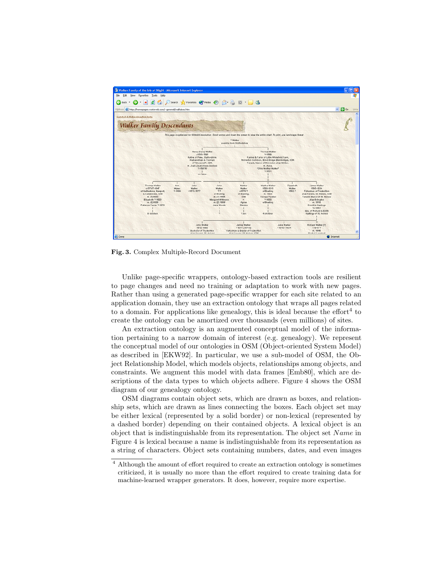

**Fig. 3.** Complex Multiple-Record Document

Unlike page-specific wrappers, ontology-based extraction tools are resilient to page changes and need no training or adaptation to work with new pages. Rather than using a generated page-specific wrapper for each site related to an application domain, they use an extraction ontology that wraps all pages related to a domain. For applications like genealogy, this is ideal because the effort<sup>4</sup> to create the ontology can be amortized over thousands (even millions) of sites.

An extraction ontology is an augmented conceptual model of the information pertaining to a narrow domain of interest (e.g. genealogy). We represent the conceptual model of our ontologies in OSM (Object-oriented System Model) as described in [EKW92]. In particular, we use a sub-model of OSM, the Object Relationship Model, which models objects, relationships among objects, and constraints. We augment this model with data frames [Emb80], which are descriptions of the data types to which objects adhere. Figure 4 shows the OSM diagram of our genealogy ontology.

OSM diagrams contain object sets, which are drawn as boxes, and relationship sets, which are drawn as lines connecting the boxes. Each object set may be either lexical (represented by a solid border) or non-lexical (represented by a dashed border) depending on their contained objects. A lexical object is an object that is indistinguishable from its representation. The object set *N ame* in Figure 4 is lexical because a name is indistinguishable from its representation as a string of characters. Object sets containing numbers, dates, and even images

<sup>4</sup> Although the amount of effort required to create an extraction ontology is sometimes criticized, it is usually no more than the effort required to create training data for machine-learned wrapper generators. It does, however, require more expertise.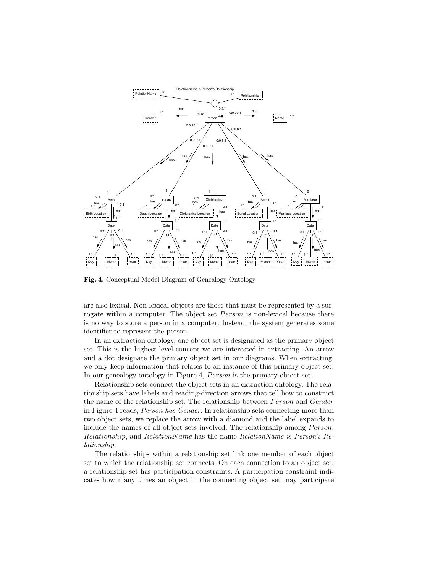

**Fig. 4.** Conceptual Model Diagram of Genealogy Ontology

are also lexical. Non-lexical objects are those that must be represented by a surrogate within a computer. The object set *Person* is non-lexical because there is no way to store a person in a computer. Instead, the system generates some identifier to represent the person.

In an extraction ontology, one object set is designated as the primary object set. This is the highest-level concept we are interested in extracting. An arrow and a dot designate the primary object set in our diagrams. When extracting, we only keep information that relates to an instance of this primary object set. In our genealogy ontology in Figure 4, *Person* is the primary object set.

Relationship sets connect the object sets in an extraction ontology. The relationship sets have labels and reading-direction arrows that tell how to construct the name of the relationship set. The relationship between *P erson* and *Gender* in Figure 4 reads, *Person has Gender*. In relationship sets connecting more than two object sets, we replace the arrow with a diamond and the label expands to include the names of all object sets involved. The relationship among *Person*, *Relationship*, and *RelationN ame* has the name *RelationName is Person's Relationship*.

The relationships within a relationship set link one member of each object set to which the relationship set connects. On each connection to an object set, a relationship set has participation constraints. A participation constraint indicates how many times an object in the connecting object set may participate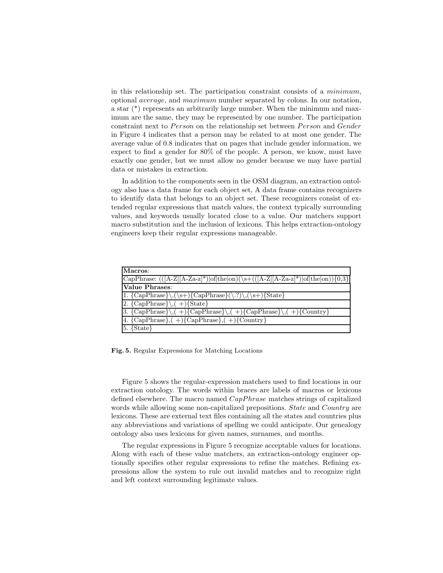in this relationship set. The participation constraint consists of a *minimum*, optional *average*, and *maximum* number separated by colons. In our notation, a star  $(*)$  represents an arbitrarily large number. When the minimum and maximum are the same, they may be represented by one number. The participation constraint next to *P erson* on the relationship set between *P erson* and *Gender* in Figure 4 indicates that a person may be related to at most one gender. The average value of 0.8 indicates that on pages that include gender information, we expect to find a gender for 80% of the people. A person, we know, must have exactly one gender, but we must allow no gender because we may have partial data or mistakes in extraction.

In addition to the components seen in the OSM diagram, an extraction ontology also has a data frame for each object set. A data frame contains recognizers to identify data that belongs to an object set. These recognizers consist of extended regular expressions that match values, the context typically surrounding values, and keywords usually located close to a value. Our matchers support macro substitution and the inclusion of lexicons. This helps extraction-ontology engineers keep their regular expressions manageable.

| Macros:                                                                                                     |
|-------------------------------------------------------------------------------------------------------------|
| CapPhrase: $(([A-Z][A-Za-z]^*)\text{of}(\ke{\omega})(\s+(([A-Z][A-Za-z]^*)\text{of}(\the{\omega}))\{0,3\}]$ |
| Value Phrases:                                                                                              |
| 1. $\{CapPhrase\}\,(s+)$ $\{CapPhrase\}(\.?)\,(s+)$ $\{State\}$                                             |
| 2. $\{CapPhrase\}\setminus, (+)\{State\}$                                                                   |
| 3. $\{CapPhrase\}\,( +)\{CapPhrase\}\,( +)\{CapPhrase\}\,( +)\{Country\}$                                   |
| 4. $\{CapPhrase\}, (+)\{CapPhrase\}, (+)\{Country\}$                                                        |
| $5. \{State\}$                                                                                              |

**Fig. 5.** Regular Expressions for Matching Locations

Figure 5 shows the regular-expression matchers used to find locations in our extraction ontology. The words within braces are labels of macros or lexicons defined elsewhere. The macro named *CapP hrase* matches strings of capitalized words while allowing some non-capitalized prepositions. *State* and *Country* are lexicons. These are external text files containing all the states and countries plus any abbreviations and variations of spelling we could anticipate. Our genealogy ontology also uses lexicons for given names, surnames, and months.

The regular expressions in Figure 5 recognize acceptable values for locations. Along with each of these value matchers, an extraction-ontology engineer optionally specifies other regular expressions to refine the matches. Refining expressions allow the system to rule out invalid matches and to recognize right and left context surrounding legitimate values.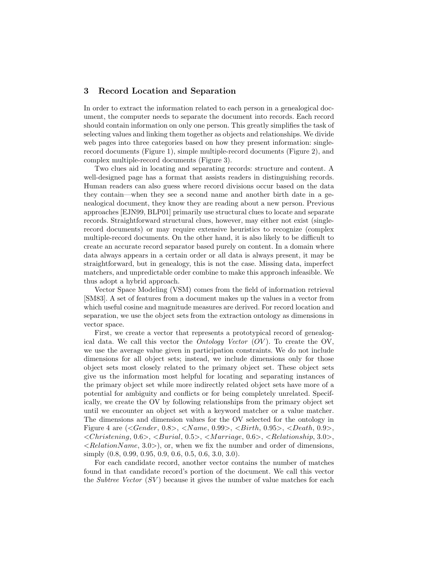#### **3 Record Location and Separation**

In order to extract the information related to each person in a genealogical document, the computer needs to separate the document into records. Each record should contain information on only one person. This greatly simplifies the task of selecting values and linking them together as objects and relationships. We divide web pages into three categories based on how they present information: singlerecord documents (Figure 1), simple multiple-record documents (Figure 2), and complex multiple-record documents (Figure 3).

Two clues aid in locating and separating records: structure and content. A well-designed page has a format that assists readers in distinguishing records. Human readers can also guess where record divisions occur based on the data they contain—when they see a second name and another birth date in a genealogical document, they know they are reading about a new person. Previous approaches [EJN99, BLP01] primarily use structural clues to locate and separate records. Straightforward structural clues, however, may either not exist (singlerecord documents) or may require extensive heuristics to recognize (complex multiple-record documents. On the other hand, it is also likely to be difficult to create an accurate record separator based purely on content. In a domain where data always appears in a certain order or all data is always present, it may be straightforward, but in genealogy, this is not the case. Missing data, imperfect matchers, and unpredictable order combine to make this approach infeasible. We thus adopt a hybrid approach.

Vector Space Modeling (VSM) comes from the field of information retrieval [SM83]. A set of features from a document makes up the values in a vector from which useful cosine and magnitude measures are derived. For record location and separation, we use the object sets from the extraction ontology as dimensions in vector space.

First, we create a vector that represents a prototypical record of genealogical data. We call this vector the *Ontology Vector* (*OV* ). To create the OV, we use the average value given in participation constraints. We do not include dimensions for all object sets; instead, we include dimensions only for those object sets most closely related to the primary object set. These object sets give us the information most helpful for locating and separating instances of the primary object set while more indirectly related object sets have more of a potential for ambiguity and conflicts or for being completely unrelated. Specifically, we create the OV by following relationships from the primary object set until we encounter an object set with a keyword matcher or a value matcher. The dimensions and dimension values for the OV selected for the ontology in Figure 4 are (*<Gender*, 0.8*>*, *<N ame*, 0.99*>*, *<Birth*, 0.95*>*, *<Death*, 0.9*>*, *<Christening*, 0.6*>*, *<Burial*, 0.5*>*, *<M arriage*, 0.6*>*, *<Relationship*, 3.0*>*, *<RelationN ame*, 3.0*>*), or, when we fix the number and order of dimensions, simply  $(0.8, 0.99, 0.95, 0.9, 0.6, 0.5, 0.6, 3.0, 3.0).$ 

For each candidate record, another vector contains the number of matches found in that candidate record's portion of the document. We call this vector the *Subtree Vector* (*SV* ) because it gives the number of value matches for each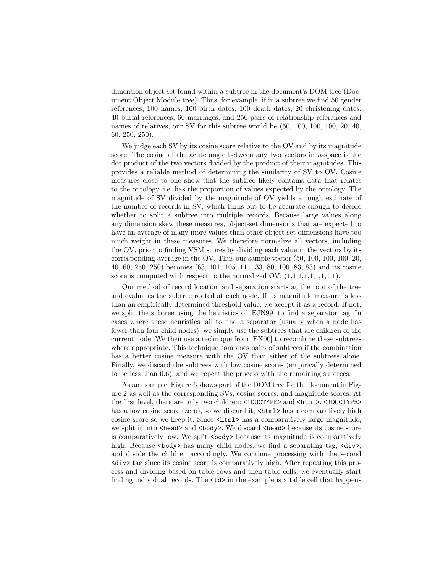dimension object set found within a subtree in the document's DOM tree (Document Object Module tree). Thus, for example, if in a subtree we find 50 gender references, 100 names, 100 birth dates, 100 death dates, 20 christening dates, 40 burial references, 60 marriages, and 250 pairs of relationship references and names of relatives, our SV for this subtree would be (50, 100, 100, 100, 20, 40, 60, 250, 250).

We judge each SV by its cosine score relative to the OV and by its magnitude score. The cosine of the acute angle between any two vectors in *n*-space is the dot product of the two vectors divided by the product of their magnitudes. This provides a reliable method of determining the similarity of SV to OV. Cosine measures close to one show that the subtree likely contains data that relates to the ontology, i.e. has the proportion of values expected by the ontology. The magnitude of SV divided by the magnitude of OV yields a rough estimate of the number of records in SV, which turns out to be accurate enough to decide whether to split a subtree into multiple records. Because large values along any dimension skew these measures, object-set dimensions that are expected to have an average of many more values than other object-set dimensions have too much weight in these measures. We therefore normalize all vectors, including the OV, prior to finding VSM scores by dividing each value in the vectors by its corresponding average in the OV. Thus our sample vector (50, 100, 100, 100, 20, 40, 60, 250, 250) becomes (63, 101, 105, 111, 33, 80, 100, 83, 83) and its cosine score is computed with respect to the normalized  $OV, (1,1,1,1,1,1,1,1).$ 

Our method of record location and separation starts at the root of the tree and evaluates the subtree rooted at each node. If its magnitude measure is less than an empirically determined threshold value, we accept it as a record. If not, we split the subtree using the heuristics of [EJN99] to find a separator tag. In cases where these heuristics fail to find a separator (usually when a node has fewer than four child nodes), we simply use the subtrees that are children of the current node. We then use a technique from [EX00] to recombine these subtrees where appropriate. This technique combines pairs of subtrees if the combination has a better cosine measure with the OV than either of the subtrees alone. Finally, we discard the subtrees with low cosine scores (empirically determined to be less than 0.6), and we repeat the process with the remaining subtrees.

As an example, Figure 6 shows part of the DOM tree for the document in Figure 2 as well as the corresponding SVs, cosine scores, and magnitude scores. At the first level, there are only two children: <!DOCTYPE> and <html>.<!DOCTYPE> has a low cosine score (zero), so we discard it;  $\text{thm1>}$  has a comparatively high cosine score so we keep it. Since  $\text{thm1>}$  has a comparatively large magnitude, we split it into <head> and <br/> <br/>edody>. We discard <head> because its cosine score is comparatively low. We split  $\langle \text{body} \rangle$  because its magnitude is comparatively high. Because <br/>body> has many child nodes, we find a separating tag, <div>, and divide the children accordingly. We continue processing with the second <div> tag since its cosine score is comparatively high. After repeating this process and dividing based on table rows and then table cells, we eventually start finding individual records. The  $<$ td $>$ in the example is a table cell that happens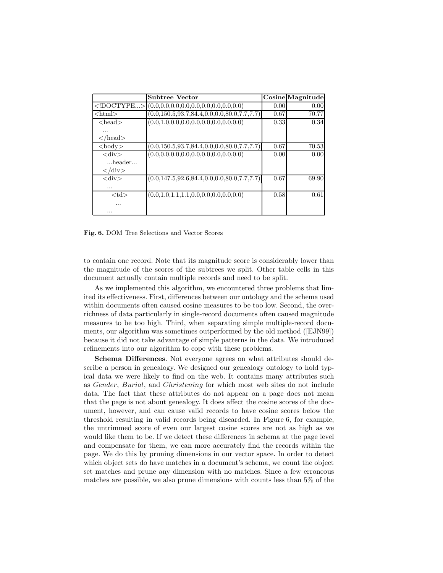|                              | <b>Subtree Vector</b>                                |      | Cosine Magnitude |
|------------------------------|------------------------------------------------------|------|------------------|
|                              |                                                      | 0.00 | 0.00             |
| $<$ html $>$                 | $(0.0, 150.5, 93.7, 84.4, 0.0, 0.0, 80.0, 7.7, 7.7)$ | 0.67 | 70.77            |
| $<$ head $>$                 |                                                      | 0.33 | 0.34             |
|                              |                                                      |      |                  |
| $\langle$ /head $\rangle$    |                                                      |      |                  |
| $<$ body $>$                 | $(0.0, 150.5, 93.7, 84.4, 0.0, 0.0, 80.0, 7.7, 7.7)$ | 0.67 | 70.53            |
| $\langle \text{div} \rangle$ |                                                      | 0.00 | 0.00             |
| header                       |                                                      |      |                  |
| $\langle$ div                |                                                      |      |                  |
| $\langle \text{div} \rangle$ | $(0.0, 147.5, 92.6, 84.4, 0.0, 0.0, 80.0, 7.7, 7.7)$ | 0.67 | 69.90            |
|                              |                                                      |      |                  |
| $<$ td $>$                   |                                                      | 0.58 | 0.61             |
|                              |                                                      |      |                  |
|                              |                                                      |      |                  |

**Fig. 6.** DOM Tree Selections and Vector Scores

to contain one record. Note that its magnitude score is considerably lower than the magnitude of the scores of the subtrees we split. Other table cells in this document actually contain multiple records and need to be split.

As we implemented this algorithm, we encountered three problems that limited its effectiveness. First, differences between our ontology and the schema used within documents often caused cosine measures to be too low. Second, the overrichness of data particularly in single-record documents often caused magnitude measures to be too high. Third, when separating simple multiple-record documents, our algorithm was sometimes outperformed by the old method ([EJN99]) because it did not take advantage of simple patterns in the data. We introduced refinements into our algorithm to cope with these problems.

**Schema Differences**. Not everyone agrees on what attributes should describe a person in genealogy. We designed our genealogy ontology to hold typical data we were likely to find on the web. It contains many attributes such as *Gender*, *Burial*, and *Christening* for which most web sites do not include data. The fact that these attributes do not appear on a page does not mean that the page is not about genealogy. It does affect the cosine scores of the document, however, and can cause valid records to have cosine scores below the threshold resulting in valid records being discarded. In Figure 6, for example, the untrimmed score of even our largest cosine scores are not as high as we would like them to be. If we detect these differences in schema at the page level and compensate for them, we can more accurately find the records within the page. We do this by pruning dimensions in our vector space. In order to detect which object sets do have matches in a document's schema, we count the object set matches and prune any dimension with no matches. Since a few erroneous matches are possible, we also prune dimensions with counts less than 5% of the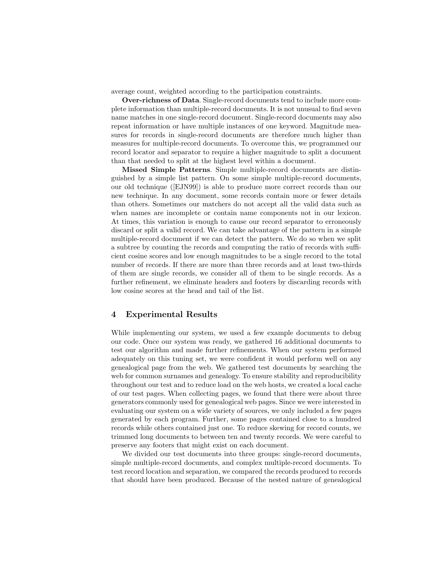average count, weighted according to the participation constraints.

**Over-richness of Data**. Single-record documents tend to include more complete information than multiple-record documents. It is not unusual to find seven name matches in one single-record document. Single-record documents may also repeat information or have multiple instances of one keyword. Magnitude measures for records in single-record documents are therefore much higher than measures for multiple-record documents. To overcome this, we programmed our record locator and separator to require a higher magnitude to split a document than that needed to split at the highest level within a document.

**Missed Simple Patterns**. Simple multiple-record documents are distinguished by a simple list pattern. On some simple multiple-record documents, our old technique ([EJN99]) is able to produce more correct records than our new technique. In any document, some records contain more or fewer details than others. Sometimes our matchers do not accept all the valid data such as when names are incomplete or contain name components not in our lexicon. At times, this variation is enough to cause our record separator to erroneously discard or split a valid record. We can take advantage of the pattern in a simple multiple-record document if we can detect the pattern. We do so when we split a subtree by counting the records and computing the ratio of records with sufficient cosine scores and low enough magnitudes to be a single record to the total number of records. If there are more than three records and at least two-thirds of them are single records, we consider all of them to be single records. As a further refinement, we eliminate headers and footers by discarding records with low cosine scores at the head and tail of the list.

#### **4 Experimental Results**

While implementing our system, we used a few example documents to debug our code. Once our system was ready, we gathered 16 additional documents to test our algorithm and made further refinements. When our system performed adequately on this tuning set, we were confident it would perform well on any genealogical page from the web. We gathered test documents by searching the web for common surnames and genealogy. To ensure stability and reproducibility throughout our test and to reduce load on the web hosts, we created a local cache of our test pages. When collecting pages, we found that there were about three generators commonly used for genealogical web pages. Since we were interested in evaluating our system on a wide variety of sources, we only included a few pages generated by each program. Further, some pages contained close to a hundred records while others contained just one. To reduce skewing for record counts, we trimmed long documents to between ten and twenty records. We were careful to preserve any footers that might exist on each document.

We divided our test documents into three groups: single-record documents, simple multiple-record documents, and complex multiple-record documents. To test record location and separation, we compared the records produced to records that should have been produced. Because of the nested nature of genealogical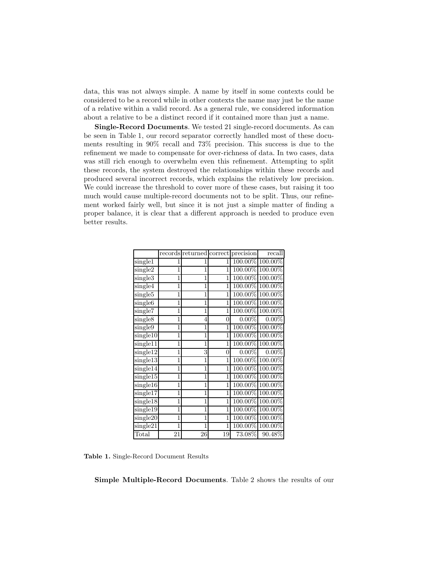data, this was not always simple. A name by itself in some contexts could be considered to be a record while in other contexts the name may just be the name of a relative within a valid record. As a general rule, we considered information about a relative to be a distinct record if it contained more than just a name.

**Single-Record Documents**. We tested 21 single-record documents. As can be seen in Table 1, our record separator correctly handled most of these documents resulting in 90% recall and 73% precision. This success is due to the refinement we made to compensate for over-richness of data. In two cases, data was still rich enough to overwhelm even this refinement. Attempting to split these records, the system destroyed the relationships within these records and produced several incorrect records, which explains the relatively low precision. We could increase the threshold to cover more of these cases, but raising it too much would cause multiple-record documents not to be split. Thus, our refinement worked fairly well, but since it is not just a simple matter of finding a proper balance, it is clear that a different approach is needed to produce even better results.

|                              |    |                |    | records returned correct precision | recall          |
|------------------------------|----|----------------|----|------------------------------------|-----------------|
| single1                      | 1  | 1              | 1  |                                    | 100.00% 100.00% |
| $\overline{\text{single}}$ 2 | 1  | 1              | 1  |                                    | 100.00% 100.00% |
| $s$ ingle $3$                |    | 1              | 1  |                                    | 100.00% 100.00% |
| single4                      | 1  | 1              | 1  |                                    | 100.00% 100.00% |
| single5                      | 1  | 1              | 1  |                                    | 100.00% 100.00% |
| single <sub>6</sub>          |    | 1              | 1  |                                    | 100.00% 100.00% |
| single7                      | 1  | 1              | 1  |                                    | 100.00% 100.00% |
| single8                      | 1  | $\overline{4}$ | 0  | $0.00\%$                           | $0.00\%$        |
| $\overline{\text{single9}}$  | 1  | 1              | 1  |                                    | 100.00% 100.00% |
| single10                     | 1  | 1              | 1  |                                    | 100.00% 100.00% |
| single11                     | 1  | 1              | 1  |                                    | 100.00% 100.00% |
| single12                     | 1  | 3              | 0  | $0.00\%$                           | $0.00\%$        |
| single13                     | 1  | 1              | 1  |                                    | 100.00% 100.00% |
| single14                     | 1  | 1              | 1  |                                    | 100.00% 100.00% |
| single15                     | 1  | 1              | 1  |                                    | 100.00% 100.00% |
| single16                     | 1  | 1              | 1  |                                    | 100.00% 100.00% |
| $\frac{\text{single17}}{}$   | 1  | 1              | 1  |                                    | 100.00% 100.00% |
| single18                     | 1  | 1              | 1  |                                    | 100.00% 100.00% |
| single19                     | 1  | 1              | 1  |                                    | 100.00% 100.00% |
| single20                     | 1  | 1              | 1  |                                    | 100.00% 100.00% |
| single21                     | 1  | 1              | 1  |                                    | 100.00% 100.00% |
| Total                        | 21 | 26             | 19 |                                    | 73.08% 90.48%   |

**Table 1.** Single-Record Document Results

**Simple Multiple-Record Documents**. Table 2 shows the results of our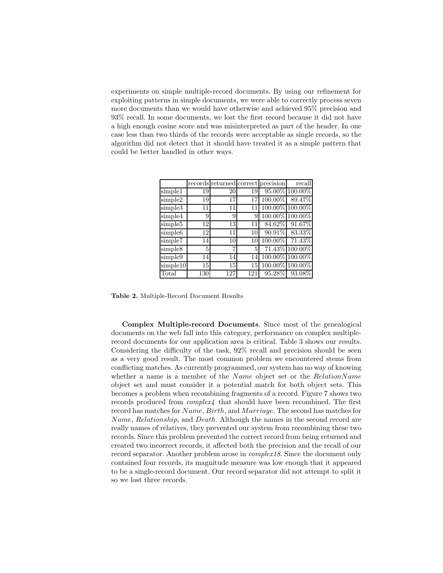experiments on simple multiple-record documents. By using our refinement for exploiting patterns in simple documents, we were able to correctly process seven more documents than we would have otherwise and achieved 95% precision and 93% recall. In some documents, we lost the first record because it did not have a high enough cosine score and was misinterpreted as part of the header. In one case less than two thirds of the records were acceptable as single records, so the algorithm did not detect that it should have treated it as a simple pattern that could be better handled in other ways.

|            |     |     |     | records returned correct precision | recall          |
|------------|-----|-----|-----|------------------------------------|-----------------|
| simple1    | 19  | 20  | 19  |                                    | 95.00% 100.00%  |
| simple2    | 19  | 17  | 17  | 100.00%                            | 89.47%          |
| simple3    | 11  | 11  | 11  |                                    | 100.00% 100.00% |
| simple4    | 9   | 9   | 9   |                                    | 100.00% 100.00% |
| simple5    | 12  | 13  | 11  | 84.62%                             | 91.67%          |
| $s$ imple6 | 12  | 11  | 10  | 90.91%                             | 83.33%          |
| simple7    | 14  | 10  | 10  | 100.00%                            | 71.43%          |
| simple8    | 5   | 7   | 5   |                                    | 71.43% 100.00%  |
| simple9    | 14  | 14  | 14  |                                    | 100.00% 100.00% |
| simple10   | 15  | 15  | 15  |                                    | 100.00% 100.00% |
| Total      | 130 | 127 | 121 | 95.28%                             | 93.08%          |

**Table 2.** Multiple-Record Document Results

**Complex Multiple-record Documents**. Since most of the genealogical documents on the web fall into this category, performance on complex multiplerecord documents for our application area is critical. Table 3 shows our results. Considering the difficulty of the task, 92% recall and precision should be seen as a very good result. The most common problem we encountered stems from conflicting matches. As currently programmed, our system has no way of knowing whether a name is a member of the *Name* object set or the *RelationName* object set and must consider it a potential match for both object sets. This becomes a problem when recombining fragments of a record. Figure 7 shows two records produced from *complex4* that should have been recombined. The first record has matches for *N ame*, *Birth*, and *M arriage*. The second has matches for *N ame*, *Relationship*, and *Death*. Although the names in the second record are really names of relatives, they prevented our system from recombining these two records. Since this problem prevented the correct record from being returned and created two incorrect records, it affected both the precision and the recall of our record separator. Another problem arose in *complex18*. Since the document only contained four records, its magnitude measure was low enough that it appeared to be a single-record document. Our record separator did not attempt to split it so we lost three records.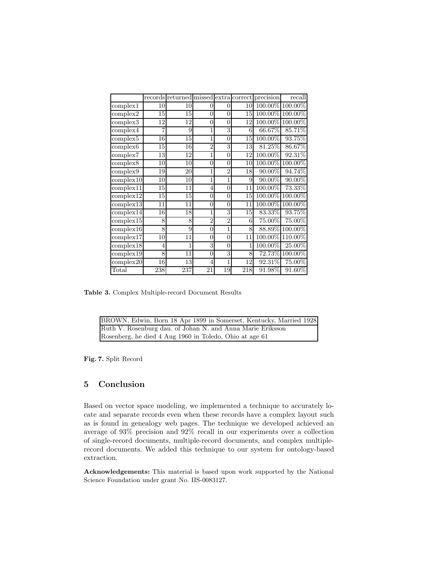|           | records |              |                |                |     | returned missed extra correct precision | recall                |
|-----------|---------|--------------|----------------|----------------|-----|-----------------------------------------|-----------------------|
|           |         |              |                |                |     |                                         |                       |
| complex1  | 10      | 10           | $\overline{0}$ | 0              | 10  |                                         | 100.00% 100.00%       |
| complex2  | 15      | 15           | $\overline{0}$ | $\overline{0}$ | 15  |                                         | 100.00% 100.00%       |
| complex3  | 12      | 12           | 0              | $\overline{0}$ | 12  | 100.00%                                 | 100.00%               |
| complex4  | 7       | 9            | 1              | 3              | 6   | 66.67%                                  | 85.71%                |
| complex5  | 16      | 15           | $\overline{1}$ | $\overline{0}$ | 15  | 100.00%                                 | 93.75%                |
| complex6  | 15      | 16           | $\overline{2}$ | 3              | 13  | 81.25%                                  | 86.67%                |
| complex7  | 13      | 12           | 1              | $\overline{0}$ | 12  | 100.00%                                 | 92.31\%               |
| complex8  | 10      | 10           | $\overline{0}$ | $\Omega$       | 10  |                                         | 100.00% 100.00%       |
| complex9  | 19      | 20           | 1              | $\overline{2}$ | 18  | $90.00\%$                               | 94.74%                |
| complex10 | 10      | 10           | 1              | 1              | 9   | 90.00%                                  | 90.00%                |
| complex11 | 15      | 11           | 4              | $\Omega$       | 11  | 100.00%                                 | 73.33%                |
| complex12 | 15      | 15           | $\overline{0}$ | $\Omega$       | 15  | 100.00%                                 | 100.00%               |
| complex13 | 11      | 11           | 0              | $\Omega$       | 11  | 100.00%                                 | $100.\overline{00\%}$ |
| complex14 | 16      | 18           | 1              | 3              | 15  | 83.33%                                  | 93.75%                |
| complex15 | 8       | 8            | $\overline{2}$ | $\overline{2}$ | 6   | 75.00%                                  | 75.00%                |
| complex16 | 8       | 9            | 0              | 1              | 8   |                                         | 88.89% 100.00%        |
| complex17 | 10      | 11           | $\overline{0}$ | $\overline{0}$ | 11  |                                         | 100.00% 110.00%       |
| complex18 | 4       | $\mathbf{1}$ | 3              | $\Omega$       | 1   | $100.00\%$                              | 25.00%                |
| complex19 | 8       | 11           | 0              | 3              | 8   |                                         | 72.73% 100.00%        |
| complex20 | 16      | 13           | 4              | 1              | 12  | 92.31%                                  | 75.00%                |
| Total     | 238     | 237          | 21             | 19             | 218 | 91.98%                                  | $91.60\%$             |

**Table 3.** Complex Multiple-record Document Results

| BROWN, Edwin, Born 18 Apr 1899 in Somerset, Kentucky, Married 1928 |
|--------------------------------------------------------------------|
| Ruth V. Rosenburg dau. of Johan N. and Anna Marie Eriksson         |
| Rosenberg, he died 4 Aug 1960 in Toledo, Ohio at age 61            |

**Fig. 7.** Split Record

### **5 Conclusion**

Based on vector space modeling, we implemented a technique to accurately locate and separate records even when these records have a complex layout such as is found in genealogy web pages. The technique we developed achieved an average of 93% precision and 92% recall in our experiments over a collection of single-record documents, multiple-record documents, and complex multiplerecord documents. We added this technique to our system for ontology-based extraction.

**Acknowledgements:** This material is based upon work supported by the National Science Foundation under grant No. IIS-0083127.